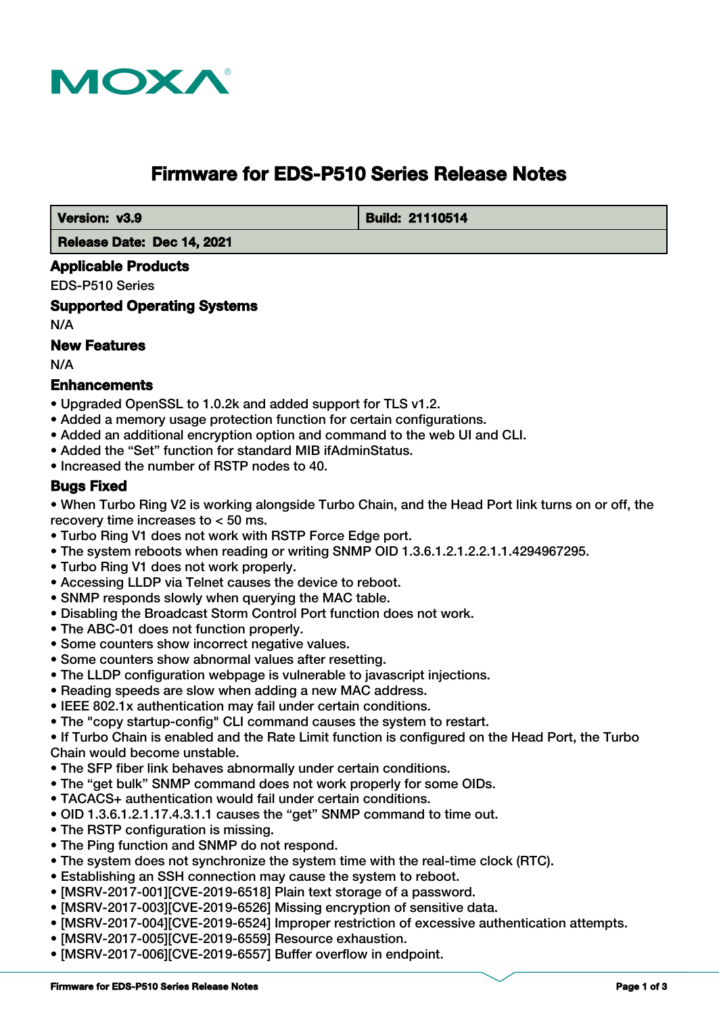

# **Firmware for EDS-P510 Series Release Notes**

 **Version: v3.9 Build: 21110514** 

 **Release Date: Dec 14, 2021**

## **Applicable Products**

EDS-P510 Series

**Supported Operating Systems**

N/A

## **New Features**

N/A

## **Enhancements**

- Upgraded OpenSSL to 1.0.2k and added support for TLS v1.2.
- Added a memory usage protection function for certain configurations.
- Added an additional encryption option and command to the web UI and CLI.
- Added the "Set" function for standard MIB ifAdminStatus.
- Increased the number of RSTP nodes to 40.

## **Bugs Fixed**

• When Turbo Ring V2 is working alongside Turbo Chain, and the Head Port link turns on or off, the recovery time increases to < 50 ms.

- Turbo Ring V1 does not work with RSTP Force Edge port.
- The system reboots when reading or writing SNMP OID 1.3.6.1.2.1.2.2.1.1.4294967295.
- Turbo Ring V1 does not work properly.
- Accessing LLDP via Telnet causes the device to reboot.
- SNMP responds slowly when querying the MAC table.
- Disabling the Broadcast Storm Control Port function does not work.
- The ABC-01 does not function properly.
- Some counters show incorrect negative values.
- Some counters show abnormal values after resetting.
- The LLDP configuration webpage is vulnerable to javascript injections.
- Reading speeds are slow when adding a new MAC address.
- IEEE 802.1x authentication may fail under certain conditions.
- The "copy startup-config" CLI command causes the system to restart.

• If Turbo Chain is enabled and the Rate Limit function is configured on the Head Port, the Turbo Chain would become unstable.

- The SFP fiber link behaves abnormally under certain conditions.
- The "get bulk" SNMP command does not work properly for some OIDs.
- TACACS+ authentication would fail under certain conditions.
- OID 1.3.6.1.2.1.17.4.3.1.1 causes the "get" SNMP command to time out.
- The RSTP configuration is missing.
- The Ping function and SNMP do not respond.
- The system does not synchronize the system time with the real-time clock (RTC).
- Establishing an SSH connection may cause the system to reboot.
- [MSRV-2017-001][CVE-2019-6518] Plain text storage of a password.
- [MSRV-2017-003][CVE-2019-6526] Missing encryption of sensitive data.
- [MSRV-2017-004][CVE-2019-6524] Improper restriction of excessive authentication attempts.
- [MSRV-2017-005][CVE-2019-6559] Resource exhaustion.
- [MSRV-2017-006][CVE-2019-6557] Buffer overflow in endpoint.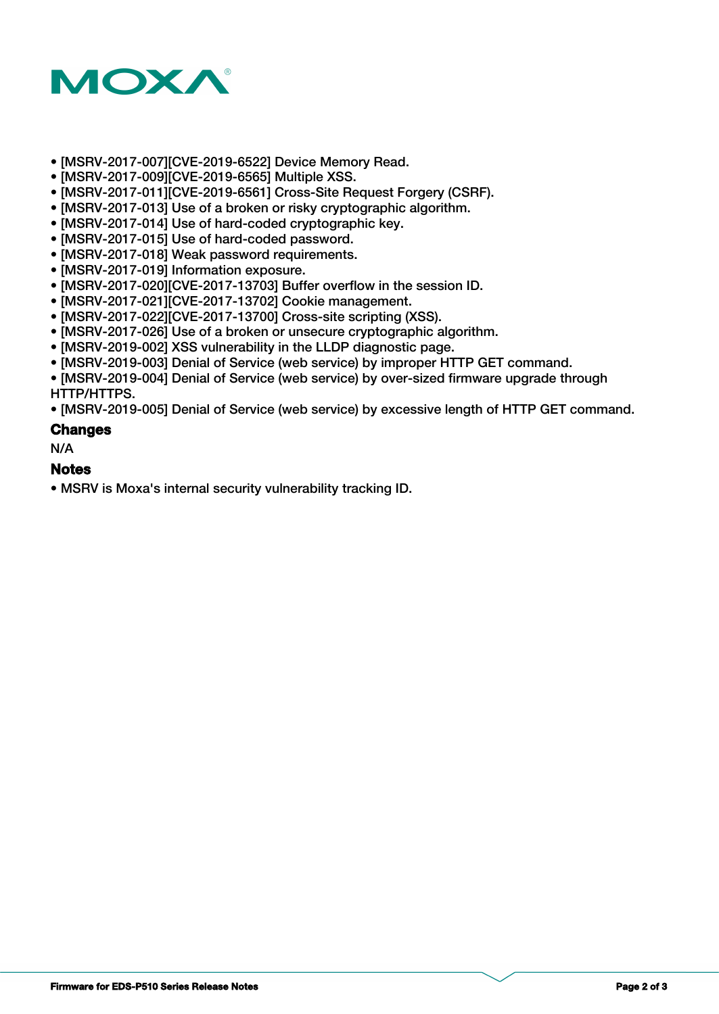

- [MSRV-2017-007][CVE-2019-6522] Device Memory Read.
- [MSRV-2017-009][CVE-2019-6565] Multiple XSS.
- [MSRV-2017-011][CVE-2019-6561] Cross-Site Request Forgery (CSRF).
- [MSRV-2017-013] Use of a broken or risky cryptographic algorithm.
- [MSRV-2017-014] Use of hard-coded cryptographic key.
- [MSRV-2017-015] Use of hard-coded password.
- [MSRV-2017-018] Weak password requirements.
- [MSRV-2017-019] Information exposure.
- [MSRV-2017-020][CVE-2017-13703] Buffer overflow in the session ID.
- [MSRV-2017-021][CVE-2017-13702] Cookie management.
- [MSRV-2017-022][CVE-2017-13700] Cross-site scripting (XSS).
- [MSRV-2017-026] Use of a broken or unsecure cryptographic algorithm.
- [MSRV-2019-002] XSS vulnerability in the LLDP diagnostic page.
- [MSRV-2019-003] Denial of Service (web service) by improper HTTP GET command.

• [MSRV-2019-004] Denial of Service (web service) by over-sized firmware upgrade through HTTP/HTTPS.

• [MSRV-2019-005] Denial of Service (web service) by excessive length of HTTP GET command.

#### **Changes**

N/A

#### **Notes**

• MSRV is Moxa's internal security vulnerability tracking ID.